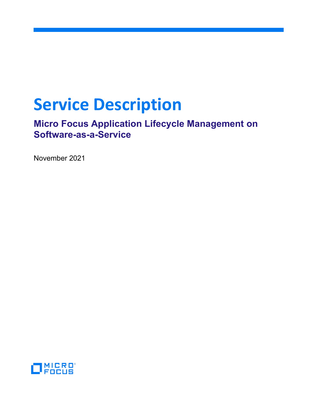# **Service Description**

**Micro Focus Application Lifecycle Management on Software-as-a-Service**

November 2021

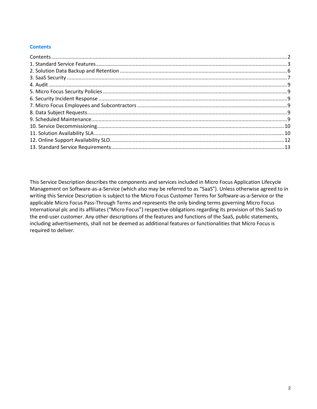## <span id="page-1-0"></span>**Contents**

This Service Description describes the components and services included in Micro Focus Application Lifecycle Management on Software-as-a-Service (which also may be referred to as "SaaS"). Unless otherwise agreed to in writing this Service Description is subject to the Micro Focus Customer Terms for Software-as-a-Service or the applicable Micro Focus Pass-Through Terms and represents the only binding terms governing Micro Focus International plc and its affiliates ("Micro Focus") respective obligations regarding its provision of this SaaS to the end-user customer. Any other descriptions of the features and functions of the SaaS, public statements, including advertisements, shall not be deemed as additional features or functionalities that Micro Focus is required to deliver.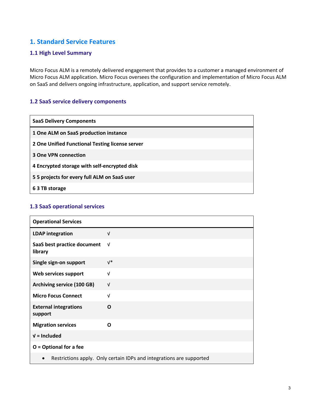# <span id="page-2-0"></span>**1. Standard Service Features**

#### **1.1 High Level Summary**

Micro Focus ALM is a remotely delivered engagement that provides to a customer a managed environment of Micro Focus ALM application. Micro Focus oversees the configuration and implementation of Micro Focus ALM on SaaS and delivers ongoing infrastructure, application, and support service remotely.

# **1.2 SaaS service delivery components**

| <b>SaaS Delivery Components</b>                 |
|-------------------------------------------------|
| 1 One ALM on SaaS production instance           |
| 2 One Unified Functional Testing license server |
| <b>3 One VPN connection</b>                     |
| 4 Encrypted storage with self-encrypted disk    |
| 5 5 projects for every full ALM on SaaS user    |
| 6 3 TB storage                                  |

#### **1.3 SaaS operational services**

| <b>Operational Services</b>             |                                                                      |
|-----------------------------------------|----------------------------------------------------------------------|
| <b>LDAP</b> integration                 | $\sqrt{ }$                                                           |
| SaaS best practice document<br>library  | $\sqrt{ }$                                                           |
| Single sign-on support                  | $V^*$                                                                |
| Web services support                    | $\sqrt{ }$                                                           |
| Archiving service (100 GB)              | $\sqrt{ }$                                                           |
| <b>Micro Focus Connect</b>              | $\sqrt{ }$                                                           |
| <b>External integrations</b><br>support | O                                                                    |
| <b>Migration services</b>               | Ω                                                                    |
| $V =$ Included                          |                                                                      |
| $O =$ Optional for a fee                |                                                                      |
|                                         | Restrictions apply. Only certain IDPs and integrations are supported |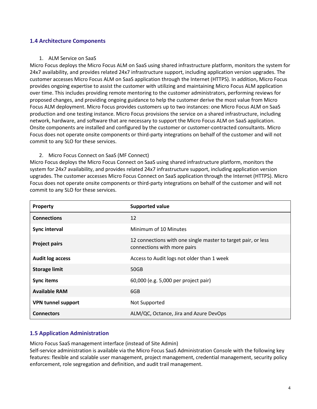#### **1.4 Architecture Components**

#### 1. ALM Service on SaaS

Micro Focus deploys the Micro Focus ALM on SaaS using shared infrastructure platform, monitors the system for 24x7 availability, and provides related 24x7 infrastructure support, including application version upgrades. The customer accesses Micro Focus ALM on SaaS application through the Internet (HTTPS). In addition, Micro Focus provides ongoing expertise to assist the customer with utilizing and maintaining Micro Focus ALM application over time. This includes providing remote mentoring to the customer administrators, performing reviews for proposed changes, and providing ongoing guidance to help the customer derive the most value from Micro Focus ALM deployment. Micro Focus provides customers up to two instances: one Micro Focus ALM on SaaS production and one testing instance. Micro Focus provisions the service on a shared infrastructure, including network, hardware, and software that are necessary to support the Micro Focus ALM on SaaS application. Onsite components are installed and configured by the customer or customer-contracted consultants. Micro Focus does not operate onsite components or third-party integrations on behalf of the customer and will not commit to any SLO for these services.

#### 2. Micro Focus Connect on SaaS (MF Connect)

Micro Focus deploys the Micro Focus Connect on SaaS using shared infrastructure platform, monitors the system for 24x7 availability, and provides related 24x7 infrastructure support, including application version upgrades. The customer accesses Micro Focus Connect on SaaS application through the Internet (HTTPS). Micro Focus does not operate onsite components or third-party integrations on behalf of the customer and will not commit to any SLO for these services.

| Property                  | <b>Supported value</b>                                                                       |
|---------------------------|----------------------------------------------------------------------------------------------|
| <b>Connections</b>        | 12                                                                                           |
| Sync interval             | Minimum of 10 Minutes                                                                        |
| <b>Project pairs</b>      | 12 connections with one single master to target pair, or less<br>connections with more pairs |
| <b>Audit log access</b>   | Access to Audit logs not older than 1 week                                                   |
| <b>Storage limit</b>      | 50GB                                                                                         |
| <b>Sync items</b>         | 60,000 (e.g. 5,000 per project pair)                                                         |
| <b>Available RAM</b>      | 6GB                                                                                          |
| <b>VPN tunnel support</b> | Not Supported                                                                                |
| <b>Connectors</b>         | ALM/QC, Octance, Jira and Azure DevOps                                                       |

# **1.5 Application Administration**

Micro Focus SaaS management interface (instead of Site Admin)

Self-service administration is available via the Micro Focus SaaS Administration Console with the following key features: flexible and scalable user management, project management, credential management, security policy enforcement, role segregation and definition, and audit trail management.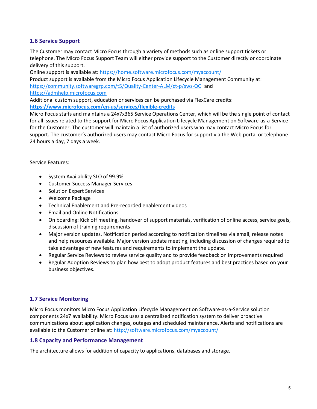# **1.6 Service Support**

The Customer may contact Micro Focus through a variety of methods such as online support tickets or telephone. The Micro Focus Support Team will either provide support to the Customer directly or coordinate delivery of this support.

Online support is available at: <https://home.software.microfocus.com/myaccount/>

Product support is available from the Micro Focus Application Lifecycle Management Community at: <https://community.softwaregrp.com/t5/Quality-Center-ALM/ct-p/sws-QC> and [https://admhelp.microfocus.com](https://admhelp.microfocus.com/)

Additional custom support, education or services can be purchased via FlexCare credits: **<https://www.microfocus.com/en-us/services/flexible-credits>**

Micro Focus staffs and maintains a 24x7x365 Service Operations Center, which will be the single point of contact for all issues related to the support for Micro Focus Application Lifecycle Management on Software-as-a-Service for the Customer. The customer will maintain a list of authorized users who may contact Micro Focus for support. The customer's authorized users may contact Micro Focus for support via the Web portal or telephone 24 hours a day, 7 days a week.

Service Features:

- System Availability SLO of 99.9%
- Customer Success Manager Services
- Solution Expert Services
- Welcome Package
- Technical Enablement and Pre-recorded enablement videos
- Email and Online Notifications
- On boarding: Kick off meeting, handover of support materials, verification of online access, service goals, discussion of training requirements
- Major version updates. Notification period according to notification timelines via email, release notes and help resources available. Major version update meeting, including discussion of changes required to take advantage of new features and requirements to implement the update.
- Regular Service Reviews to review service quality and to provide feedback on improvements required
- Regular Adoption Reviews to plan how best to adopt product features and best practices based on your business objectives.

# **1.7 Service Monitoring**

Micro Focus monitors Micro Focus Application Lifecycle Management on Software-as-a-Service solution components 24x7 availability. Micro Focus uses a centralized notification system to deliver proactive communications about application changes, outages and scheduled maintenance. Alerts and notifications are available to the Customer online at:<http://software.microfocus.com/myaccount/>

# **1.8 Capacity and Performance Management**

The architecture allows for addition of capacity to applications, databases and storage.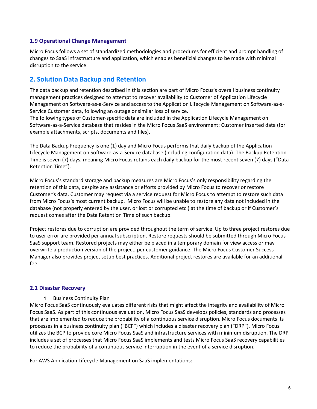## **1.9 Operational Change Management**

Micro Focus follows a set of standardized methodologies and procedures for efficient and prompt handling of changes to SaaS infrastructure and application, which enables beneficial changes to be made with minimal disruption to the service.

# <span id="page-5-0"></span>**2. Solution Data Backup and Retention**

The data backup and retention described in this section are part of Micro Focus's overall business continuity management practices designed to attempt to recover availability to Customer of Application Lifecycle Management on Software-as-a-Service and access to the Application Lifecycle Management on Software-as-a-Service Customer data, following an outage or similar loss of service.

The following types of Customer-specific data are included in the Application Lifecycle Management on Software-as-a-Service database that resides in the Micro Focus SaaS environment: Customer inserted data (for example attachments, scripts, documents and files).

The Data Backup Frequency is one (1) day and Micro Focus performs that daily backup of the Application Lifecycle Management on Software-as-a-Service database (including configuration data). The Backup Retention Time is seven (7) days, meaning Micro Focus retains each daily backup for the most recent seven (7) days ("Data Retention Time").

Micro Focus's standard storage and backup measures are Micro Focus's only responsibility regarding the retention of this data, despite any assistance or efforts provided by Micro Focus to recover or restore Customer's data. Customer may request via a service request for Micro Focus to attempt to restore such data from Micro Focus's most current backup. Micro Focus will be unable to restore any data not included in the database (not properly entered by the user, or lost or corrupted etc.) at the time of backup or if Customer´s request comes after the Data Retention Time of such backup.

Project restores due to corruption are provided throughout the term of service. Up to three project restores due to user error are provided per annual subscription. Restore requests should be submitted through Micro Focus SaaS support team. Restored projects may either be placed in a temporary domain for view access or may overwrite a production version of the project, per customer guidance. The Micro Focus Customer Success Manager also provides project setup best practices. Additional project restores are available for an additional fee.

# **2.1 Disaster Recovery**

#### 1. Business Continuity Plan

Micro Focus SaaS continuously evaluates different risks that might affect the integrity and availability of Micro Focus SaaS. As part of this continuous evaluation, Micro Focus SaaS develops policies, standards and processes that are implemented to reduce the probability of a continuous service disruption. Micro Focus documents its processes in a business continuity plan ("BCP") which includes a disaster recovery plan ("DRP"). Micro Focus utilizes the BCP to provide core Micro Focus SaaS and infrastructure services with minimum disruption. The DRP includes a set of processes that Micro Focus SaaS implements and tests Micro Focus SaaS recovery capabilities to reduce the probability of a continuous service interruption in the event of a service disruption.

For AWS Application Lifecycle Management on SaaS implementations: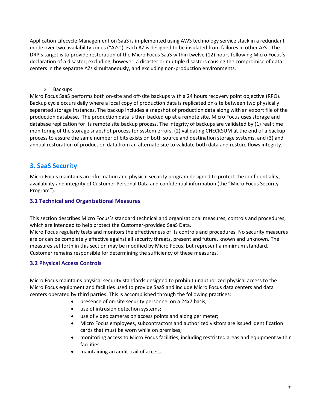Application Lifecycle Management on SaaS is implemented using AWS technology service stack in a redundant mode over two availability zones ("AZs"). Each AZ is designed to be insulated from failures in other AZs. The DRP's target is to provide restoration of the Micro Focus SaaS within twelve (12) hours following Micro Focus's declaration of a disaster; excluding, however, a disaster or multiple disasters causing the compromise of data centers in the separate AZs simultaneously, and excluding non-production environments.

2. Backups

Micro Focus SaaS performs both on-site and off-site backups with a 24 hours recovery point objective (RPO). Backup cycle occurs daily where a local copy of production data is replicated on-site between two physically separated storage instances. The backup includes a snapshot of production data along with an export file of the production database. The production data is then backed up at a remote site. Micro Focus uses storage and database replication for its remote site backup process. The integrity of backups are validated by (1) real time monitoring of the storage snapshot process for system errors, (2) validating CHECKSUM at the end of a backup process to assure the same number of bits exists on both source and destination storage systems, and (3) and annual restoration of production data from an alternate site to validate both data and restore flows integrity.

# <span id="page-6-0"></span>**3. SaaS Security**

Micro Focus maintains an information and physical security program designed to protect the confidentiality, availability and integrity of Customer Personal Data and confidential information (the "Micro Focus Security Program").

# **3.1 Technical and Organizational Measures**

This section describes Micro Focus´s standard technical and organizational measures, controls and procedures, which are intended to help protect the Customer-provided SaaS Data.

Micro Focus regularly tests and monitors the effectiveness of its controls and procedures. No security measures are or can be completely effective against all security threats, present and future, known and unknown. The measures set forth in this section may be modified by Micro Focus, but represent a minimum standard. Customer remains responsible for determining the sufficiency of these measures.

# **3.2 Physical Access Controls**

Micro Focus maintains physical security standards designed to prohibit unauthorized physical access to the Micro Focus equipment and facilities used to provide SaaS and include Micro Focus data centers and data centers operated by third parties. This is accomplished through the following practices:

- presence of on-site security personnel on a 24x7 basis;
- use of intrusion detection systems;
- use of video cameras on access points and along perimeter;
- Micro Focus employees, subcontractors and authorized visitors are issued identification cards that must be worn while on premises;
- monitoring access to Micro Focus facilities, including restricted areas and equipment within facilities;
- maintaining an audit trail of access.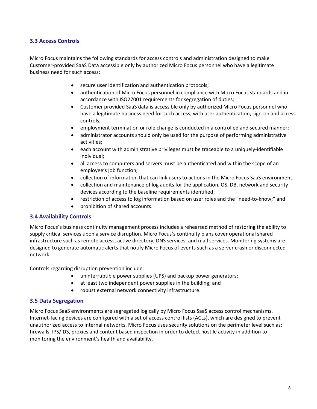# **3.3 Access Controls**

Micro Focus maintains the following standards for access controls and administration designed to make Customer-provided SaaS Data accessible only by authorized Micro Focus personnel who have a legitimate business need for such access:

- secure user identification and authentication protocols;
- authentication of Micro Focus personnel in compliance with Micro Focus standards and in accordance with ISO27001 requirements for segregation of duties;
- Customer provided SaaS data is accessible only by authorized Micro Focus personnel who have a legitimate business need for such access, with user authentication, sign-on and access controls;
- employment termination or role change is conducted in a controlled and secured manner;
- administrator accounts should only be used for the purpose of performing administrative activities;
- each account with administrative privileges must be traceable to a uniquely-identifiable individual;
- all access to computers and servers must be authenticated and within the scope of an employee's job function;
- collection of information that can link users to actions in the Micro Focus SaaS environment;
- collection and maintenance of log audits for the application, OS, DB, network and security devices according to the baseline requirements identified;
- restriction of access to log information based on user roles and the "need-to-know;" and
- prohibition of shared accounts.

# **3.4 Availability Controls**

Micro Focus´s business continuity management process includes a rehearsed method of restoring the ability to supply critical services upon a service disruption. Micro Focus's continuity plans cover operational shared infrastructure such as remote access, active directory, DNS services, and mail services. Monitoring systems are designed to generate automatic alerts that notify Micro Focus of events such as a server crash or disconnected network.

Controls regarding disruption prevention include:

- uninterruptible power supplies (UPS) and backup power generators;
- at least two independent power supplies in the building; and
- robust external network connectivity infrastructure.

#### **3.5 Data Segregation**

Micro Focus SaaS environments are segregated logically by Micro Focus SaaS access control mechanisms. Internet-facing devices are configured with a set of access control lists (ACLs), which are designed to prevent unauthorized access to internal networks. Micro Focus uses security solutions on the perimeter level such as: firewalls, IPS/IDS, proxies and content based inspection in order to detect hostile activity in addition to monitoring the environment's health and availability.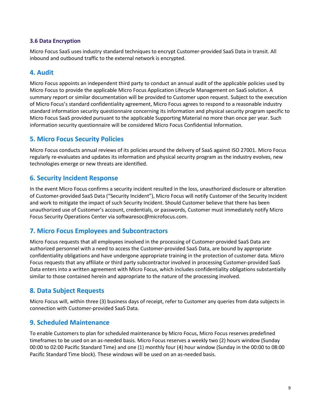# **3.6 Data Encryption**

Micro Focus SaaS uses industry standard techniques to encrypt Customer-provided SaaS Data in transit. All inbound and outbound traffic to the external network is encrypted.

# <span id="page-8-0"></span>**4. Audit**

Micro Focus appoints an independent third party to conduct an annual audit of the applicable policies used by Micro Focus to provide the applicable Micro Focus Application Lifecycle Management on SaaS solution. A summary report or similar documentation will be provided to Customer upon request. Subject to the execution of Micro Focus's standard confidentiality agreement, Micro Focus agrees to respond to a reasonable industry standard information security questionnaire concerning its information and physical security program specific to Micro Focus SaaS provided pursuant to the applicable Supporting Material no more than once per year. Such information security questionnaire will be considered Micro Focus Confidential Information.

# <span id="page-8-1"></span>**5. Micro Focus Security Policies**

Micro Focus conducts annual reviews of its policies around the delivery of SaaS against ISO 27001. Micro Focus regularly re-evaluates and updates its information and physical security program as the industry evolves, new technologies emerge or new threats are identified.

# <span id="page-8-2"></span>**6. Security Incident Response**

In the event Micro Focus confirms a security incident resulted in the loss, unauthorized disclosure or alteration of Customer-provided SaaS Data ("Security Incident"), Micro Focus will notify Customer of the Security Incident and work to mitigate the impact of such Security Incident. Should Customer believe that there has been unauthorized use of Customer's account, credentials, or passwords, Customer must immediately notify Micro Focus Security Operations Center via softwaresoc@microfocus.com.

# <span id="page-8-3"></span>**7. Micro Focus Employees and Subcontractors**

Micro Focus requests that all employees involved in the processing of Customer-provided SaaS Data are authorized personnel with a need to access the Customer-provided SaaS Data, are bound by appropriate confidentiality obligations and have undergone appropriate training in the protection of customer data. Micro Focus requests that any affiliate or third party subcontractor involved in processing Customer-provided SaaS Data enters into a written agreement with Micro Focus, which includes confidentiality obligations substantially similar to those contained herein and appropriate to the nature of the processing involved.

# <span id="page-8-4"></span>**8. Data Subject Requests**

Micro Focus will, within three (3) business days of receipt, refer to Customer any queries from data subjects in connection with Customer-provided SaaS Data.

# <span id="page-8-5"></span>**9. Scheduled Maintenance**

To enable Customers to plan for scheduled maintenance by Micro Focus, Micro Focus reserves predefined timeframes to be used on an as-needed basis. Micro Focus reserves a weekly two (2) hours window (Sunday 00:00 to 02:00 Pacific Standard Time) and one (1) monthly four (4) hour window (Sunday in the 00:00 to 08:00 Pacific Standard Time block). These windows will be used on an as-needed basis.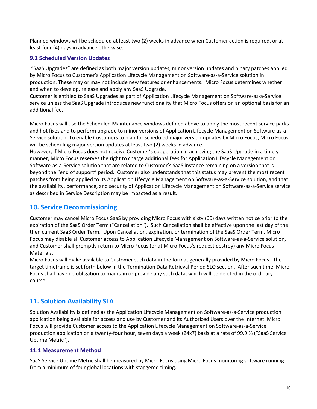Planned windows will be scheduled at least two (2) weeks in advance when Customer action is required, or at least four (4) days in advance otherwise.

# **9.1 Scheduled Version Updates**

"SaaS Upgrades" are defined as both major version updates, minor version updates and binary patches applied by Micro Focus to Customer's Application Lifecycle Management on Software-as-a-Service solution in production. These may or may not include new features or enhancements. Micro Focus determines whether and when to develop, release and apply any SaaS Upgrade.

Customer is entitled to SaaS Upgrades as part of Application Lifecycle Management on Software-as-a-Service service unless the SaaS Upgrade introduces new functionality that Micro Focus offers on an optional basis for an additional fee.

Micro Focus will use the Scheduled Maintenance windows defined above to apply the most recent service packs and hot fixes and to perform upgrade to minor versions of Application Lifecycle Management on Software-as-a-Service solution. To enable Customers to plan for scheduled major version updates by Micro Focus, Micro Focus will be scheduling major version updates at least two (2) weeks in advance.

However, if Micro Focus does not receive Customer's cooperation in achieving the SaaS Upgrade in a timely manner, Micro Focus reserves the right to charge additional fees for Application Lifecycle Management on Software-as-a-Service solution that are related to Customer's SaaS instance remaining on a version that is beyond the "end of support" period. Customer also understands that this status may prevent the most recent patches from being applied to its Application Lifecycle Management on Software-as-a-Service solution, and that the availability, performance, and security of Application Lifecycle Management on Software-as-a-Service service as described in Service Description may be impacted as a result.

# <span id="page-9-0"></span>**10. Service Decommissioning**

Customer may cancel Micro Focus SaaS by providing Micro Focus with sixty (60) days written notice prior to the expiration of the SaaS Order Term ("Cancellation"). Such Cancellation shall be effective upon the last day of the then current SaaS Order Term. Upon Cancellation, expiration, or termination of the SaaS Order Term, Micro Focus may disable all Customer access to Application Lifecycle Management on Software-as-a-Service solution, and Customer shall promptly return to Micro Focus (or at Micro Focus's request destroy) any Micro Focus Materials.

Micro Focus will make available to Customer such data in the format generally provided by Micro Focus. The target timeframe is set forth below in the Termination Data Retrieval Period SLO section. After such time, Micro Focus shall have no obligation to maintain or provide any such data, which will be deleted in the ordinary course.

# <span id="page-9-1"></span>**11. Solution Availability SLA**

Solution Availability is defined as the Application Lifecycle Management on Software-as-a-Service production application being available for access and use by Customer and its Authorized Users over the Internet. Micro Focus will provide Customer access to the Application Lifecycle Management on Software-as-a-Service production application on a twenty-four hour, seven days a week (24x7) basis at a rate of 99.9 % ("SaaS Service Uptime Metric").

# **11.1 Measurement Method**

SaaS Service Uptime Metric shall be measured by Micro Focus using Micro Focus monitoring software running from a minimum of four global locations with staggered timing.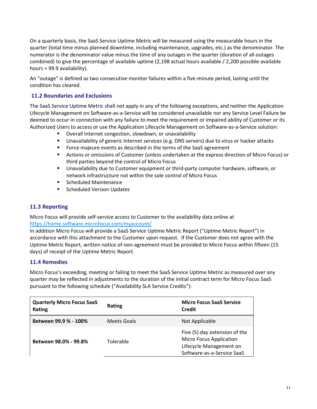On a quarterly basis, the SaaS Service Uptime Metric will be measured using the measurable hours in the quarter (total time minus planned downtime, including maintenance, upgrades, etc.) as the denominator. The numerator is the denominator value minus the time of any outages in the quarter (duration of all outages combined) to give the percentage of available uptime (2,198 actual hours available / 2,200 possible available hours = 99.9 availability).

An "outage" is defined as two consecutive monitor failures within a five-minute period, lasting until the condition has cleared.

# **11.2 Boundaries and Exclusions**

The SaaS Service Uptime Metric shall not apply in any of the following exceptions, and neither the Application Lifecycle Management on Software-as-a-Service will be considered unavailable nor any Service Level Failure be deemed to occur in connection with any failure to meet the requirement or impaired ability of Customer or its Authorized Users to access or use the Application Lifecycle Management on Software-as-a-Service solution:

- Overall Internet congestion, slowdown, or unavailability
- Unavailability of generic Internet services (e.g. DNS servers) due to virus or hacker attacks
- **FIC Force majeure events as described in the terms of the SaaS agreement**
- Actions or omissions of Customer (unless undertaken at the express direction of Micro Focus) or third parties beyond the control of Micro Focus
- Unavailability due to Customer equipment or third-party computer hardware, software, or network infrastructure not within the sole control of Micro Focus
- **EXEC** Scheduled Maintenance
- **Scheduled Version Updates**

# **11.3 Reporting**

Micro Focus will provide self-service access to Customer to the availability data online at <https://home.software.microfocus.com/myaccount/>

In addition Micro Focus will provide a SaaS Service Uptime Metric Report ("Uptime Metric Report") in accordance with this attachment to the Customer upon request. If the Customer does not agree with the Uptime Metric Report, written notice of non-agreement must be provided to Micro Focus within fifteen (15 days) of receipt of the Uptime Metric Report.

# **11.4 Remedies**

Micro Focus's exceeding, meeting or failing to meet the SaaS Service Uptime Metric as measured over any quarter may be reflected in adjustments to the duration of the initial contract term for Micro Focus SaaS pursuant to the following schedule ("Availability SLA Service Credits"):

| <b>Quarterly Micro Focus SaaS</b><br>Rating | <b>Rating</b> | <b>Micro Focus SaaS Service</b><br><b>Credit</b>                                                                         |
|---------------------------------------------|---------------|--------------------------------------------------------------------------------------------------------------------------|
| Between 99.9 % - 100%                       | Meets Goals   | Not Applicable                                                                                                           |
| Between 98.0% - 99.8%                       | Tolerable     | Five (5) day extension of the<br><b>Micro Focus Application</b><br>Lifecycle Management on<br>Software-as-a-Service SaaS |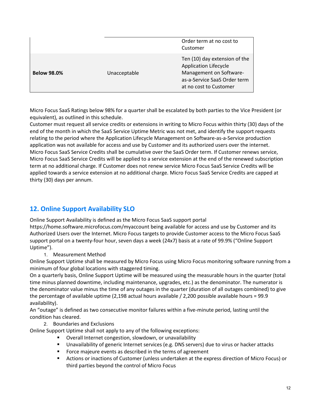|                    |              | Order term at no cost to<br>Customer                                                                                                               |
|--------------------|--------------|----------------------------------------------------------------------------------------------------------------------------------------------------|
| <b>Below 98.0%</b> | Unacceptable | Ten (10) day extension of the<br><b>Application Lifecycle</b><br>Management on Software-<br>as-a-Service SaaS Order term<br>at no cost to Customer |

Micro Focus SaaS Ratings below 98% for a quarter shall be escalated by both parties to the Vice President (or equivalent), as outlined in this schedule.

Customer must request all service credits or extensions in writing to Micro Focus within thirty (30) days of the end of the month in which the SaaS Service Uptime Metric was not met, and identify the support requests relating to the period where the Application Lifecycle Management on Software-as-a-Service production application was not available for access and use by Customer and its authorized users over the internet. Micro Focus SaaS Service Credits shall be cumulative over the SaaS Order term. If Customer renews service, Micro Focus SaaS Service Credits will be applied to a service extension at the end of the renewed subscription term at no additional charge. If Customer does not renew service Micro Focus SaaS Service Credits will be applied towards a service extension at no additional charge. Micro Focus SaaS Service Credits are capped at thirty (30) days per annum.

# <span id="page-11-0"></span>**12. Online Support Availability SLO**

Online Support Availability is defined as the Micro Focus SaaS support portal

https://home.software.microfocus.com/myaccount being available for access and use by Customer and its Authorized Users over the Internet. Micro Focus targets to provide Customer access to the Micro Focus SaaS support portal on a twenty-four hour, seven days a week (24x7) basis at a rate of 99.9% ("Online Support Uptime").

1. Measurement Method

Online Support Uptime shall be measured by Micro Focus using Micro Focus monitoring software running from a minimum of four global locations with staggered timing.

On a quarterly basis, Online Support Uptime will be measured using the measurable hours in the quarter (total time minus planned downtime, including maintenance, upgrades, etc.) as the denominator. The numerator is the denominator value minus the time of any outages in the quarter (duration of all outages combined) to give the percentage of available uptime (2,198 actual hours available / 2,200 possible available hours = 99.9 availability).

An "outage" is defined as two consecutive monitor failures within a five-minute period, lasting until the condition has cleared.

2. Boundaries and Exclusions

Online Support Uptime shall not apply to any of the following exceptions:

- Overall Internet congestion, slowdown, or unavailability
- Unavailability of generic Internet services (e.g. DNS servers) due to virus or hacker attacks
- **FICT** Force majeure events as described in the terms of agreement
- Actions or inactions of Customer (unless undertaken at the express direction of Micro Focus) or third parties beyond the control of Micro Focus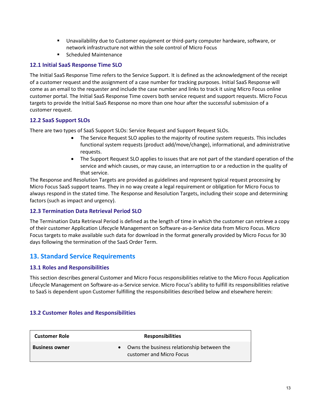- Unavailability due to Customer equipment or third-party computer hardware, software, or network infrastructure not within the sole control of Micro Focus
- Scheduled Maintenance

# **12.1 Initial SaaS Response Time SLO**

The Initial SaaS Response Time refers to the Service Support. It is defined as the acknowledgment of the receipt of a customer request and the assignment of a case number for tracking purposes. Initial SaaS Response will come as an email to the requester and include the case number and links to track it using Micro Focus online customer portal. The Initial SaaS Response Time covers both service request and support requests. Micro Focus targets to provide the Initial SaaS Response no more than one hour after the successful submission of a customer request.

# **12.2 SaaS Support SLOs**

There are two types of SaaS Support SLOs: Service Request and Support Request SLOs.

- The Service Request SLO applies to the majority of routine system requests. This includes functional system requests (product add/move/change), informational, and administrative requests.
- The Support Request SLO applies to issues that are not part of the standard operation of the service and which causes, or may cause, an interruption to or a reduction in the quality of that service.

The Response and Resolution Targets are provided as guidelines and represent typical request processing by Micro Focus SaaS support teams. They in no way create a legal requirement or obligation for Micro Focus to always respond in the stated time. The Response and Resolution Targets, including their scope and determining factors (such as impact and urgency).

# **12.3 Termination Data Retrieval Period SLO**

The Termination Data Retrieval Period is defined as the length of time in which the customer can retrieve a copy of their customer Application Lifecycle Management on Software-as-a-Service data from Micro Focus. Micro Focus targets to make available such data for download in the format generally provided by Micro Focus for 30 days following the termination of the SaaS Order Term.

# <span id="page-12-0"></span>**13. Standard Service Requirements**

# **13.1 Roles and Responsibilities**

This section describes general Customer and Micro Focus responsibilities relative to the Micro Focus Application Lifecycle Management on Software-as-a-Service service. Micro Focus's ability to fulfill its responsibilities relative to SaaS is dependent upon Customer fulfilling the responsibilities described below and elsewhere herein:

# **13.2 Customer Roles and Responsibilities**

| <b>Customer Role</b>  | <b>Responsibilities</b>                                                |
|-----------------------|------------------------------------------------------------------------|
| <b>Business owner</b> | Owns the business relationship between the<br>customer and Micro Focus |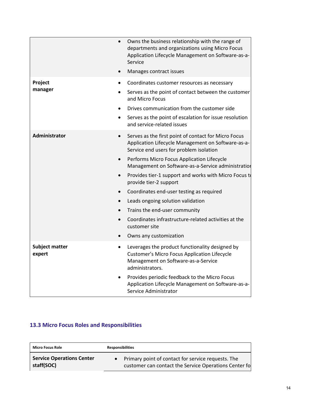|                                 | Owns the business relationship with the range of<br>$\bullet$<br>departments and organizations using Micro Focus<br>Application Lifecycle Management on Software-as-a-<br>Service<br>Manages contract issues |
|---------------------------------|--------------------------------------------------------------------------------------------------------------------------------------------------------------------------------------------------------------|
|                                 |                                                                                                                                                                                                              |
| Project                         | Coordinates customer resources as necessary                                                                                                                                                                  |
| manager                         | Serves as the point of contact between the customer<br>and Micro Focus                                                                                                                                       |
|                                 | Drives communication from the customer side<br>$\bullet$                                                                                                                                                     |
|                                 | Serves as the point of escalation for issue resolution<br>and service-related issues                                                                                                                         |
| <b>Administrator</b>            | Serves as the first point of contact for Micro Focus<br>$\bullet$<br>Application Lifecycle Management on Software-as-a-<br>Service end users for problem isolation                                           |
|                                 | Performs Micro Focus Application Lifecycle<br>$\bullet$<br>Management on Software-as-a-Service administration                                                                                                |
|                                 | Provides tier-1 support and works with Micro Focus to<br>provide tier-2 support                                                                                                                              |
|                                 | Coordinates end-user testing as required<br>$\bullet$                                                                                                                                                        |
|                                 | Leads ongoing solution validation                                                                                                                                                                            |
|                                 | Trains the end-user community                                                                                                                                                                                |
|                                 | Coordinates infrastructure-related activities at the<br>customer site                                                                                                                                        |
|                                 | Owns any customization                                                                                                                                                                                       |
| <b>Subject matter</b><br>expert | Leverages the product functionality designed by<br>$\bullet$<br><b>Customer's Micro Focus Application Lifecycle</b><br>Management on Software-as-a-Service<br>administrators.                                |
|                                 | Provides periodic feedback to the Micro Focus<br>Application Lifecycle Management on Software-as-a-<br>Service Administrator                                                                                 |

# **13.3 Micro Focus Roles and Responsibilities**

| <b>Micro Focus Role</b>          | <b>Responsibilities</b>                               |
|----------------------------------|-------------------------------------------------------|
| <b>Service Operations Center</b> | • Primary point of contact for service requests. The  |
| staff(SOC)                       | customer can contact the Service Operations Center fo |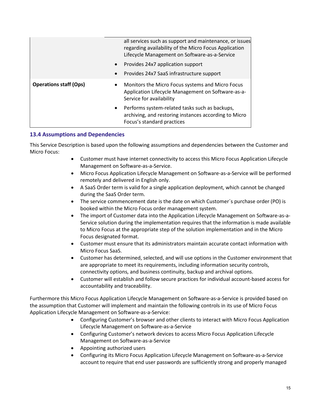|                               | all services such as support and maintenance, or issues<br>regarding availability of the Micro Focus Application<br>Lifecycle Management on Software-as-a-Service |
|-------------------------------|-------------------------------------------------------------------------------------------------------------------------------------------------------------------|
|                               | Provides 24x7 application support<br>$\bullet$                                                                                                                    |
|                               | Provides 24x7 SaaS infrastructure support<br>$\bullet$                                                                                                            |
| <b>Operations staff (Ops)</b> | Monitors the Micro Focus systems and Micro Focus<br>Application Lifecycle Management on Software-as-a-<br>Service for availability                                |
|                               | Performs system-related tasks such as backups,<br>$\bullet$<br>archiving, and restoring instances according to Micro<br>Focus's standard practices                |

# **13.4 Assumptions and Dependencies**

This Service Description is based upon the following assumptions and dependencies between the Customer and Micro Focus:

- Customer must have internet connectivity to access this Micro Focus Application Lifecycle Management on Software-as-a-Service.
- Micro Focus Application Lifecycle Management on Software-as-a-Service will be performed remotely and delivered in English only.
- A SaaS Order term is valid for a single application deployment, which cannot be changed during the SaaS Order term.
- The service commencement date is the date on which Customer's purchase order (PO) is booked within the Micro Focus order management system.
- The import of Customer data into the Application Lifecycle Management on Software-as-a-Service solution during the implementation requires that the information is made available to Micro Focus at the appropriate step of the solution implementation and in the Micro Focus designated format.
- Customer must ensure that its administrators maintain accurate contact information with Micro Focus SaaS.
- Customer has determined, selected, and will use options in the Customer environment that are appropriate to meet its requirements, including information security controls, connectivity options, and business continuity, backup and archival options.
- Customer will establish and follow secure practices for individual account-based access for accountability and traceability.

Furthermore this Micro Focus Application Lifecycle Management on Software-as-a-Service is provided based on the assumption that Customer will implement and maintain the following controls in its use of Micro Focus Application Lifecycle Management on Software-as-a-Service:

- Configuring Customer's browser and other clients to interact with Micro Focus Application Lifecycle Management on Software-as-a-Service
- Configuring Customer's network devices to access Micro Focus Application Lifecycle Management on Software-as-a-Service
- Appointing authorized users
- Configuring its Micro Focus Application Lifecycle Management on Software-as-a-Service account to require that end user passwords are sufficiently strong and properly managed